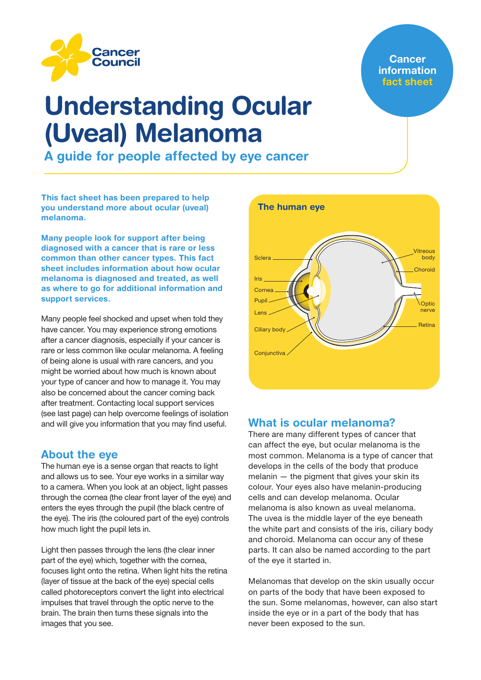

# **Cancer** information fact sheet

# Understanding Ocular (Uveal) Melanoma

A guide for people affected by eye cancer

This fact sheet has been prepared to help you understand more about ocular (uveal) melanoma.

Many people look for support after being diagnosed with a cancer that is rare or less common than other cancer types. This fact sheet includes information about how ocular melanoma is diagnosed and treated, as well as where to go for additional information and support services.

Many people feel shocked and upset when told they have cancer. You may experience strong emotions after a cancer diagnosis, especially if your cancer is rare or less common like ocular melanoma. A feeling of being alone is usual with rare cancers, and you might be worried about how much is known about your type of cancer and how to manage it. You may also be concerned about the cancer coming back after treatment. Contacting local support services (see last page) can help overcome feelings of isolation and will give you information that you may find useful.

# About the eye

The human eve is a sense organ that reacts to light and allows us to see. Your eye works in a similar way to a camera. When you look at an object, light passes through the cornea (the clear front layer of the eye) and enters the eyes through the pupil (the black centre of the eye). The iris (the coloured part of the eye) controls how much light the pupil lets in.

Light then passes through the lens (the clear inner part of the eye) which, together with the cornea, focuses light onto the retina. When light hits the retina (layer of tissue at the back of the eye) special cells called photoreceptors convert the light into electrical impulses that travel through the optic nerve to the brain. The brain then turns these signals into the images that you see.



# What is ocular melanoma?

There are many different types of cancer that can affect the eye, but ocular melanoma is the most common. Melanoma is a type of cancer that develops in the cells of the body that produce melanin — the pigment that gives your skin its colour. Your eyes also have melanin-producing cells and can develop melanoma. Ocular melanoma is also known as uveal melanoma. The uvea is the middle layer of the eye beneath the white part and consists of the iris, ciliary body and choroid. Melanoma can occur any of these parts. It can also be named according to the part of the eye it started in.

Melanomas that develop on the skin usually occur on parts of the body that have been exposed to the sun. Some melanomas, however, can also start inside the eye or in a part of the body that has never been exposed to the sun.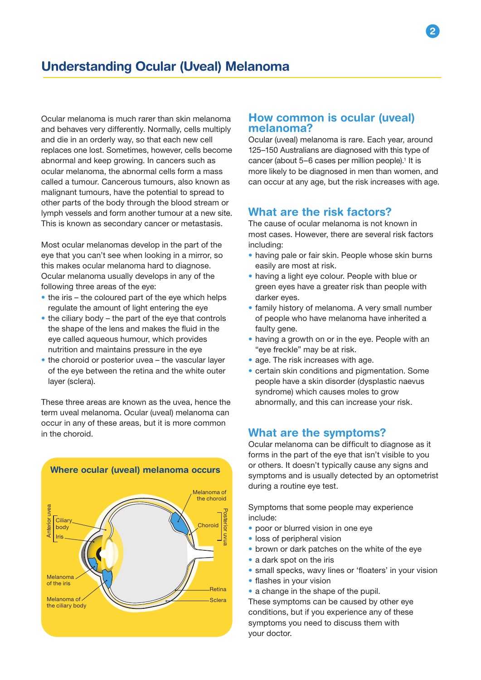Ocular melanoma is much rarer than skin melanoma and behaves very differently. Normally, cells multiply and die in an orderly way, so that each new cell replaces one lost. Sometimes, however, cells become abnormal and keep growing. In cancers such as ocular melanoma, the abnormal cells form a mass called a tumour. Cancerous tumours, also known as malignant tumours, have the potential to spread to other parts of the body through the blood stream or lymph vessels and form another tumour at a new site. This is known as secondary cancer or metastasis.

Most ocular melanomas develop in the part of the eye that you can't see when looking in a mirror, so this makes ocular melanoma hard to diagnose. Ocular melanoma usually develops in any of the following three areas of the eye:

- the iris the coloured part of the eye which helps regulate the amount of light entering the eye
- the ciliary body the part of the eye that controls the shape of the lens and makes the fluid in the eye called aqueous humour, which provides nutrition and maintains pressure in the eye
- the choroid or posterior uvea the vascular layer of the eye between the retina and the white outer layer (sclera).

These three areas are known as the uvea, hence the term uveal melanoma. Ocular (uveal) melanoma can occur in any of these areas, but it is more common in the choroid.



### How common is ocular (uveal) melanoma?

Ocular (uveal) melanoma is rare. Each year, around 125–150 Australians are diagnosed with this type of cancer (about 5-6 cases per million people).<sup>1</sup> It is more likely to be diagnosed in men than women, and can occur at any age, but the risk increases with age.

# What are the risk factors?

The cause of ocular melanoma is not known in most cases. However, there are several risk factors including:

- having pale or fair skin. People whose skin burns easily are most at risk.
- having a light eye colour. People with blue or green eyes have a greater risk than people with darker eyes.
- family history of melanoma. A very small number of people who have melanoma have inherited a faulty gene.
- having a growth on or in the eye. People with an "eye freckle" may be at risk.
- age. The risk increases with age.
- certain skin conditions and pigmentation. Some people have a skin disorder (dysplastic naevus syndrome) which causes moles to grow abnormally, and this can increase your risk.

# What are the symptoms?

Ocular melanoma can be difficult to diagnose as it forms in the part of the eye that isn't visible to you or others. It doesn't typically cause any signs and symptoms and is usually detected by an optometrist during a routine eye test.

Symptoms that some people may experience include:

- poor or blurred vision in one eye
- loss of peripheral vision
- brown or dark patches on the white of the eye
- a dark spot on the iris
- small specks, wavy lines or 'floaters' in your vision
- flashes in your vision
- a change in the shape of the pupil.

These symptoms can be caused by other eye conditions, but if you experience any of these symptoms you need to discuss them with your doctor.

2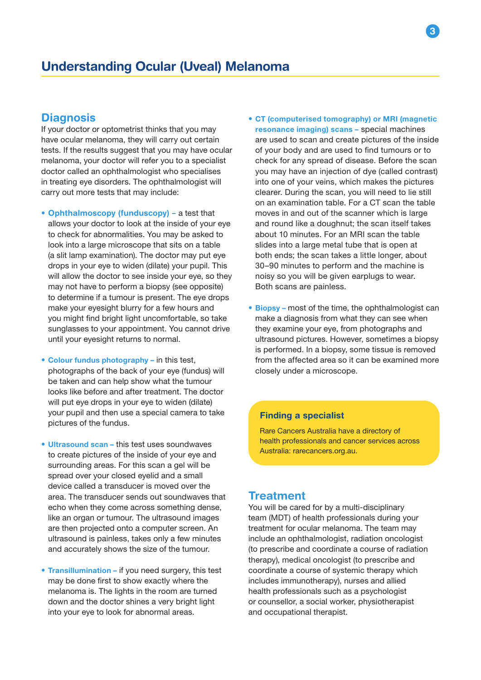# **Diagnosis**

If your doctor or optometrist thinks that you may have ocular melanoma, they will carry out certain tests. If the results suggest that you may have ocular melanoma, your doctor will refer you to a specialist doctor called an ophthalmologist who specialises in treating eye disorders. The ophthalmologist will carry out more tests that may include:

- Ophthalmoscopy (funduscopy) a test that allows your doctor to look at the inside of your eye to check for abnormalities. You may be asked to look into a large microscope that sits on a table (a slit lamp examination). The doctor may put eye drops in your eye to widen (dilate) your pupil. This will allow the doctor to see inside your eye, so they may not have to perform a biopsy (see opposite) to determine if a tumour is present. The eye drops make your eyesight blurry for a few hours and you might find bright light uncomfortable, so take sunglasses to your appointment. You cannot drive until your eyesight returns to normal.
- Colour fundus photography in this test, photographs of the back of your eye (fundus) will be taken and can help show what the tumour looks like before and after treatment. The doctor will put eye drops in your eye to widen (dilate) your pupil and then use a special camera to take pictures of the fundus.
- Ultrasound scan this test uses soundwaves to create pictures of the inside of your eye and surrounding areas. For this scan a gel will be spread over your closed eyelid and a small device called a transducer is moved over the area. The transducer sends out soundwaves that echo when they come across something dense, like an organ or tumour. The ultrasound images are then projected onto a computer screen. An ultrasound is painless, takes only a few minutes and accurately shows the size of the tumour.
- Transillumination if you need surgery, this test may be done first to show exactly where the melanoma is. The lights in the room are turned down and the doctor shines a very bright light into your eye to look for abnormal areas.
- CT (computerised tomography) or MRI (magnetic resonance imaging) scans – special machines are used to scan and create pictures of the inside of your body and are used to find tumours or to check for any spread of disease. Before the scan you may have an injection of dye (called contrast) into one of your veins, which makes the pictures clearer. During the scan, you will need to lie still on an examination table. For a CT scan the table moves in and out of the scanner which is large and round like a doughnut; the scan itself takes about 10 minutes. For an MRI scan the table slides into a large metal tube that is open at both ends; the scan takes a little longer, about 30–90 minutes to perform and the machine is noisy so you will be given earplugs to wear. Both scans are painless.
- Biopsy most of the time, the ophthalmologist can make a diagnosis from what they can see when they examine your eye, from photographs and ultrasound pictures. However, sometimes a biopsy is performed. In a biopsy, some tissue is removed from the affected area so it can be examined more closely under a microscope.

### Finding a specialist

Rare Cancers Australia have a directory of health professionals and cancer services across Australia: rarecancers.org.au.

### **Treatment**

You will be cared for by a multi-disciplinary team (MDT) of health professionals during your treatment for ocular melanoma. The team may include an ophthalmologist, radiation oncologist (to prescribe and coordinate a course of radiation therapy), medical oncologist (to prescribe and coordinate a course of systemic therapy which includes immunotherapy), nurses and allied health professionals such as a psychologist or counsellor, a social worker, physiotherapist and occupational therapist.

3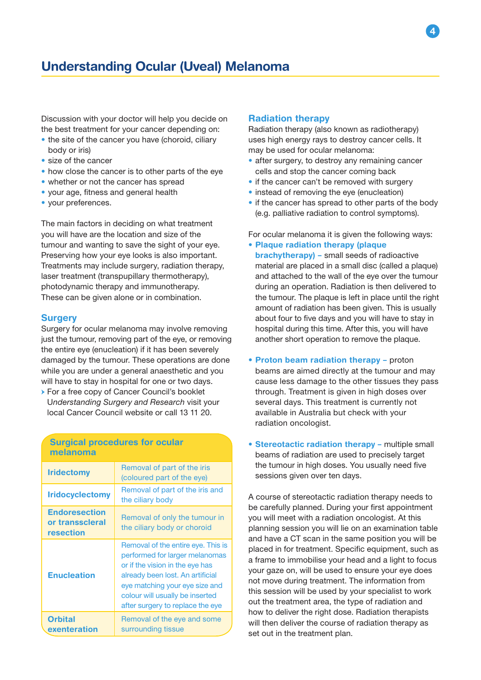Discussion with your doctor will help you decide on the best treatment for your cancer depending on:

- the site of the cancer you have (choroid, ciliary body or iris)
- size of the cancer
- how close the cancer is to other parts of the eye
- whether or not the cancer has spread
- your age, fitness and general health
- your preferences.

The main factors in deciding on what treatment you will have are the location and size of the tumour and wanting to save the sight of your eye. Preserving how your eye looks is also important. Treatments may include surgery, radiation therapy, laser treatment (transpupillary thermotherapy), photodynamic therapy and immunotherapy. These can be given alone or in combination.

#### **Surgery**

Surgery for ocular melanoma may involve removing just the tumour, removing part of the eye, or removing the entire eye (enucleation) if it has been severely damaged by the tumour. These operations are done while you are under a general anaesthetic and you will have to stay in hospital for one or two days.

→ For a free copy of Cancer Council's booklet U*nderstanding Surgery and Research* visit your local Cancer Council website or call 13 11 20.

### Surgical procedures for ocular melanoma **Iridectomy** Removal of part of the iris (coloured part of the eye) **Iridocyclectomy** Removal of part of the iris and the ciliary body **Endoresection** or transscleral resection Removal of only the tumour in the ciliary body or choroid

| терсонин                       |                                                                                                                                                                                                                                                      |
|--------------------------------|------------------------------------------------------------------------------------------------------------------------------------------------------------------------------------------------------------------------------------------------------|
| <b>Enucleation</b>             | Removal of the entire eye. This is<br>performed for larger melanomas<br>or if the vision in the eye has<br>already been lost. An artificial<br>eye matching your eye size and<br>colour will usually be inserted<br>after surgery to replace the eye |
| <b>Orbital</b><br>exenteration | Removal of the eye and some<br>surrounding tissue                                                                                                                                                                                                    |

#### Radiation therapy

Radiation therapy (also known as radiotherapy) uses high energy rays to destroy cancer cells. It may be used for ocular melanoma:

- after surgery, to destroy any remaining cancer cells and stop the cancer coming back
- if the cancer can't be removed with surgery
- instead of removing the eye (enucleation)
- if the cancer has spread to other parts of the body (e.g. palliative radiation to control symptoms).

For ocular melanoma it is given the following ways:

- Plaque radiation therapy (plaque brachytherapy) – small seeds of radioactive material are placed in a small disc (called a plaque) and attached to the wall of the eye over the tumour during an operation. Radiation is then delivered to the tumour. The plaque is left in place until the right amount of radiation has been given. This is usually about four to five days and you will have to stay in hospital during this time. After this, you will have another short operation to remove the plaque.
- Proton beam radiation therapy proton beams are aimed directly at the tumour and may cause less damage to the other tissues they pass through. Treatment is given in high doses over several days. This treatment is currently not available in Australia but check with your radiation oncologist.
- Stereotactic radiation therapy multiple small beams of radiation are used to precisely target the tumour in high doses. You usually need five sessions given over ten days.

A course of stereotactic radiation therapy needs to be carefully planned. During your first appointment you will meet with a radiation oncologist. At this planning session you will lie on an examination table and have a CT scan in the same position you will be placed in for treatment. Specific equipment, such as a frame to immobilise your head and a light to focus your gaze on, will be used to ensure your eye does not move during treatment. The information from this session will be used by your specialist to work out the treatment area, the type of radiation and how to deliver the right dose. Radiation therapists will then deliver the course of radiation therapy as set out in the treatment plan.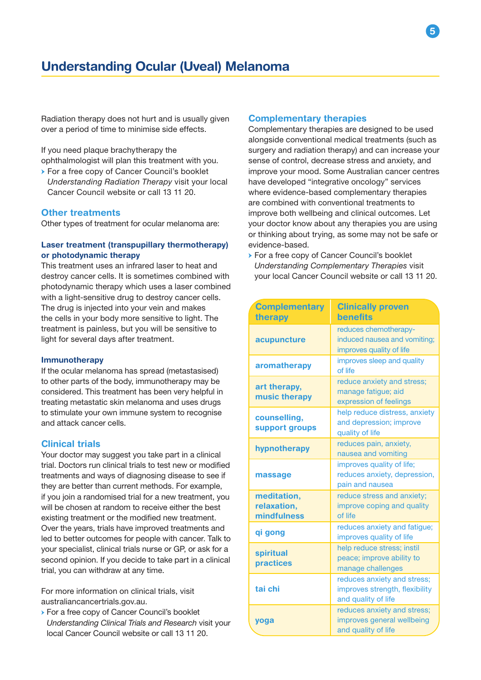Radiation therapy does not hurt and is usually given over a period of time to minimise side effects.

If you need plaque brachytherapy the ophthalmologist will plan this treatment with you.

→ For a free copy of Cancer Council's booklet *Understanding Radiation Therapy* visit your local Cancer Council website or call 13 11 20.

#### Other treatments

Other types of treatment for ocular melanoma are:

### Laser treatment (transpupillary thermotherapy) or photodynamic therapy

This treatment uses an infrared laser to heat and destroy cancer cells. It is sometimes combined with photodynamic therapy which uses a laser combined with a light-sensitive drug to destroy cancer cells. The drug is injected into your vein and makes the cells in your body more sensitive to light. The treatment is painless, but you will be sensitive to light for several days after treatment.

#### **Immunotherapy**

If the ocular melanoma has spread (metastasised) to other parts of the body, immunotherapy may be considered. This treatment has been very helpful in treating metastatic skin melanoma and uses drugs to stimulate your own immune system to recognise and attack cancer cells.

#### Clinical trials

Your doctor may suggest you take part in a clinical trial. Doctors run clinical trials to test new or modified treatments and ways of diagnosing disease to see if they are better than current methods. For example, if you join a randomised trial for a new treatment, you will be chosen at random to receive either the best existing treatment or the modified new treatment. Over the years, trials have improved treatments and led to better outcomes for people with cancer. Talk to your specialist, clinical trials nurse or GP, or ask for a second opinion. If you decide to take part in a clinical trial, you can withdraw at any time.

For more information on clinical trials, visit australiancancertrials.gov.au.

→ For a free copy of Cancer Council's booklet *Understanding Clinical Trials and Research* visit your local Cancer Council website or call 13 11 20.

#### Complementary therapies

Complementary therapies are designed to be used alongside conventional medical treatments (such as surgery and radiation therapy) and can increase your sense of control, decrease stress and anxiety, and improve your mood. Some Australian cancer centres have developed "integrative oncology" services where evidence-based complementary therapies are combined with conventional treatments to improve both wellbeing and clinical outcomes. Let your doctor know about any therapies you are using or thinking about trying, as some may not be safe or evidence-based.

→ For a free copy of Cancer Council's booklet *Understanding Complementary Therapies* visit your local Cancer Council website or call 13 11 20.

| <b>Complementary</b><br>therapy           | <b>Clinically proven</b><br><b>benefits</b>                                          |
|-------------------------------------------|--------------------------------------------------------------------------------------|
| acupuncture                               | reduces chemotherapy-<br>induced nausea and vomiting;<br>improves quality of life    |
| aromatherapy                              | improves sleep and quality<br>of life                                                |
| art therapy,<br>music therapy             | reduce anxiety and stress;<br>manage fatigue; aid<br>expression of feelings          |
| counselling,<br>support groups            | help reduce distress, anxiety<br>and depression; improve<br>quality of life          |
| hypnotherapy                              | reduces pain, anxiety,<br>nausea and vomiting                                        |
| massage                                   | improves quality of life;<br>reduces anxiety, depression,<br>pain and nausea         |
| meditation,<br>relaxation,<br>mindfulness | reduce stress and anxiety;<br>improve coping and quality<br>of life                  |
| qi gong                                   | reduces anxiety and fatigue;<br>improves quality of life                             |
| spiritual<br>practices                    | help reduce stress; instil<br>peace; improve ability to<br>manage challenges         |
| tai chi                                   | reduces anxiety and stress;<br>improves strength, flexibility<br>and quality of life |
| yoga                                      | reduces anxiety and stress;<br>improves general wellbeing<br>and quality of life     |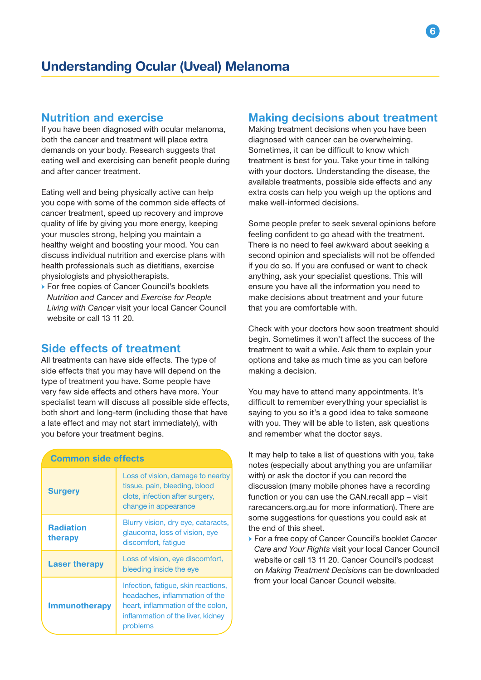# Nutrition and exercise

If you have been diagnosed with ocular melanoma, both the cancer and treatment will place extra demands on your body. Research suggests that eating well and exercising can benefit people during and after cancer treatment.

Eating well and being physically active can help you cope with some of the common side effects of cancer treatment, speed up recovery and improve quality of life by giving you more energy, keeping your muscles strong, helping you maintain a healthy weight and boosting your mood. You can discuss individual nutrition and exercise plans with health professionals such as dietitians, exercise physiologists and physiotherapists.

→ For free copies of Cancer Council's booklets *Nutrition and Cancer* and *Exercise for People Living with Cancer* visit your local Cancer Council website or call 13 11 20.

# Side effects of treatment

All treatments can have side effects. The type of side effects that you may have will depend on the type of treatment you have. Some people have very few side effects and others have more. Your specialist team will discuss all possible side effects, both short and long-term (including those that have a late effect and may not start immediately), with you before your treatment begins.

| <b>Common side effects</b>  |                                                                                                                                                             |
|-----------------------------|-------------------------------------------------------------------------------------------------------------------------------------------------------------|
| <b>Surgery</b>              | Loss of vision, damage to nearby<br>tissue, pain, bleeding, blood<br>clots, infection after surgery,<br>change in appearance                                |
| <b>Radiation</b><br>therapy | Blurry vision, dry eye, cataracts,<br>glaucoma, loss of vision, eye<br>discomfort, fatigue                                                                  |
| <b>Laser therapy</b>        | Loss of vision, eye discomfort,<br>bleeding inside the eye                                                                                                  |
| <b>Immunotherapy</b>        | Infection, fatigue, skin reactions,<br>headaches, inflammation of the<br>heart, inflammation of the colon,<br>inflammation of the liver, kidney<br>problems |

### Making decisions about treatment

Making treatment decisions when you have been diagnosed with cancer can be overwhelming. Sometimes, it can be difficult to know which treatment is best for you. Take your time in talking with your doctors. Understanding the disease, the available treatments, possible side effects and any extra costs can help you weigh up the options and make well-informed decisions.

Some people prefer to seek several opinions before feeling confident to go ahead with the treatment. There is no need to feel awkward about seeking a second opinion and specialists will not be offended if you do so. If you are confused or want to check anything, ask your specialist questions. This will ensure you have all the information you need to make decisions about treatment and your future that you are comfortable with.

Check with your doctors how soon treatment should begin. Sometimes it won't affect the success of the treatment to wait a while. Ask them to explain your options and take as much time as you can before making a decision.

You may have to attend many appointments. It's difficult to remember everything your specialist is saying to you so it's a good idea to take someone with you. They will be able to listen, ask questions and remember what the doctor says.

It may help to take a list of questions with you, take notes (especially about anything you are unfamiliar with) or ask the doctor if you can record the discussion (many mobile phones have a recording function or you can use the CAN.recall app – visit rarecancers.org.au for more information). There are some suggestions for questions you could ask at the end of this sheet.

→ For a free copy of Cancer Council's booklet *Cancer Care and Your Rights* visit your local Cancer Council website or call 13 11 20. Cancer Council's podcast on *Making Treatment Decisions* can be downloaded from your local Cancer Council website.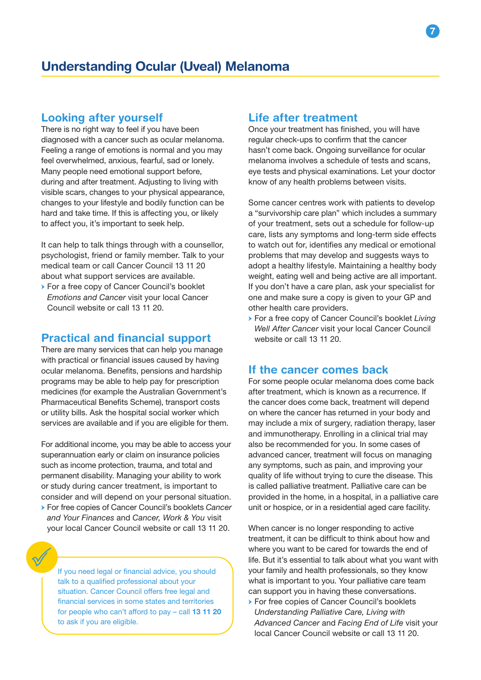# Looking after yourself

There is no right way to feel if you have been diagnosed with a cancer such as ocular melanoma. Feeling a range of emotions is normal and you may feel overwhelmed, anxious, fearful, sad or lonely. Many people need emotional support before, during and after treatment. Adjusting to living with visible scars, changes to your physical appearance, changes to your lifestyle and bodily function can be hard and take time. If this is affecting you, or likely to affect you, it's important to seek help.

It can help to talk things through with a counsellor, psychologist, friend or family member. Talk to your medical team or call Cancer Council 13 11 20 about what support services are available.

→ For a free copy of Cancer Council's booklet *Emotions and Cancer* visit your local Cancer Council website or call 13 11 20.

## Practical and financial support

There are many services that can help you manage with practical or financial issues caused by having ocular melanoma. Benefits, pensions and hardship programs may be able to help pay for prescription medicines (for example the Australian Government's Pharmaceutical Benefits Scheme), transport costs or utility bills. Ask the hospital social worker which services are available and if you are eligible for them.

For additional income, you may be able to access your superannuation early or claim on insurance policies such as income protection, trauma, and total and permanent disability. Managing your ability to work or study during cancer treatment, is important to consider and will depend on your personal situation.

→ For free copies of Cancer Council's booklets *Cancer and Your Finances* and *Cancer, Work & You* visit your local Cancer Council website or call 13 11 20.

If you need legal or financial advice, you should talk to a qualified professional about your situation. Cancer Council offers free legal and financial services in some states and territories for people who can't afford to pay – call 13 11 20 to ask if you are eligible.

# Life after treatment

Once your treatment has finished, you will have regular check-ups to confirm that the cancer hasn't come back. Ongoing surveillance for ocular melanoma involves a schedule of tests and scans, eye tests and physical examinations. Let your doctor know of any health problems between visits.

Some cancer centres work with patients to develop a "survivorship care plan" which includes a summary of your treatment, sets out a schedule for follow-up care, lists any symptoms and long-term side effects to watch out for, identifies any medical or emotional problems that may develop and suggests ways to adopt a healthy lifestyle. Maintaining a healthy body weight, eating well and being active are all important. If you don't have a care plan, ask your specialist for one and make sure a copy is given to your GP and other health care providers.

→ For a free copy of Cancer Council's booklet *Living Well After Cancer* visit your local Cancer Council website or call 13 11 20.

### If the cancer comes back

For some people ocular melanoma does come back after treatment, which is known as a recurrence. If the cancer does come back, treatment will depend on where the cancer has returned in your body and may include a mix of surgery, radiation therapy, laser and immunotherapy. Enrolling in a clinical trial may also be recommended for you. In some cases of advanced cancer, treatment will focus on managing any symptoms, such as pain, and improving your quality of life without trying to cure the disease. This is called palliative treatment. Palliative care can be provided in the home, in a hospital, in a palliative care unit or hospice, or in a residential aged care facility.

When cancer is no longer responding to active treatment, it can be difficult to think about how and where you want to be cared for towards the end of life. But it's essential to talk about what you want with your family and health professionals, so they know what is important to you. Your palliative care team can support you in having these conversations.

→ For free copies of Cancer Council's booklets *Understanding Palliative Care, Living with Advanced Cancer* and *Facing End of Life* visit your local Cancer Council website or call 13 11 20.